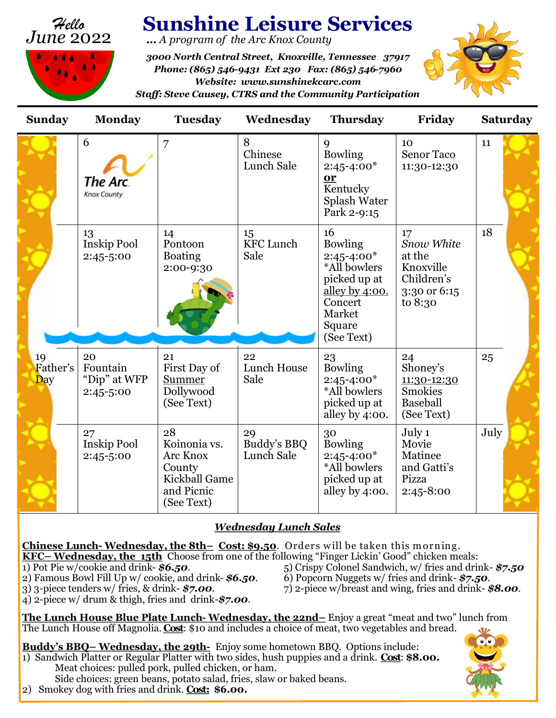



# **Sunshine Leisure Services**

**…** *A program of the Arc Knox County*

*3000 North Central Street, Knoxville, Tennessee 37917 Phone: (865) 546-9431 Ext 230 Fax: (865) 546-7960 Website: www.sunshinekcarc.com Staff: Steve Causey, CTRS and the Community Participation* 



| <b>Sunday</b>         | <b>Monday</b>                               | <b>Tuesday</b>                                                                               | Wednesday                       | <b>Thursday</b>                                                                                                                          | Friday                                                                           | <b>Saturday</b> |
|-----------------------|---------------------------------------------|----------------------------------------------------------------------------------------------|---------------------------------|------------------------------------------------------------------------------------------------------------------------------------------|----------------------------------------------------------------------------------|-----------------|
|                       | 6<br>The Arc.<br>Knox County                | 7                                                                                            | 8<br>Chinese<br>Lunch Sale      | 9<br><b>Bowling</b><br>$2:45 - 4:00*$<br>or<br>Kentucky<br>Splash Water<br>Park 2-9:15                                                   | 10<br><b>Senor Taco</b><br>11:30-12:30                                           | 11              |
|                       | 13<br><b>Inskip Pool</b><br>2:45-5:00       | 14<br>Pontoon<br><b>Boating</b><br>2:00-9:30                                                 | 15<br><b>KFC Lunch</b><br>Sale  | 16<br><b>Bowling</b><br>$2:45 - 4:00*$<br>*All bowlers<br>picked up at<br>alley by $4:00$ .<br>Concert<br>Market<br>Square<br>(See Text) | 17<br>Snow White<br>at the<br>Knoxville<br>Children's<br>3:30 or 6:15<br>to 8:30 | 18              |
| 19<br>Father's<br>Day | 20<br>Fountain<br>"Dip" at WFP<br>2:45-5:00 | 21<br>First Day of<br>Summer<br>Dollywood<br>(See Text)                                      | 22<br>Lunch House<br>Sale       | 23<br><b>Bowling</b><br>$2:45 - 4:00*$<br>*All bowlers<br>picked up at<br>alley by 4:00.                                                 | 24<br>Shoney's<br>11:30-12:30<br><b>Smokies</b><br>Baseball<br>(See Text)        | 25              |
|                       | 27<br><b>Inskip Pool</b><br>2:45-5:00       | 28<br>Koinonia vs.<br><b>Arc Knox</b><br>County<br>Kickball Game<br>and Picnic<br>(See Text) | 29<br>Buddy's BBQ<br>Lunch Sale | 30<br><b>Bowling</b><br>$2:45 - 4:00*$<br>*All bowlers<br>picked up at<br>alley by 4:00.                                                 | July 1<br>Movie<br>Matinee<br>and Gatti's<br>Pizza<br>2:45-8:00                  | July            |

# *Wednesday Lunch Sales*

**Chinese Lunch- Wednesday, the 8th– Cost: \$9.50**. Orders w ill be taken this m orning. **KFC– Wednesday, the 15th** Choose from one of the following "Finger Lickin' Good" chicken meals: 1) Pot Pie w/cookie and drink- **\$6.50**.<br>
2) Famous Bowl Fill Up w/ cookie, and drink- **\$6.50**. 6) Popcorn Nuggets w/ fries and drink- **\$7.50**. 2) Famous Bowl Fill Up w/ cookie, and drink- **\$6.50**.<br>3) 3-piece tenders w/ fries, & drink- **\$7.00**. 3) 3-piece tenders w/ fries, & drink- *\$7.00*. 7) 2-piece w/breast and wing, fries and drink- *\$8.00*. 4) 2-piece w/ drum & thigh, fries and drink-*\$7.00*.

**The Lunch House Blue Plate Lunch- Wednesday, the 22nd–** Enjoy a great "meat and two" lunch from The Lunch House off Magnolia. **Cost**: \$10 and includes a choice of meat, two vegetables and bread.

**Buddy's BBQ– Wednesday, the 29th-** Enjoy some hometown BBQ. Options include: 1) Sandwich Platter or Regular Platter with two sides, hush puppies and a drink. **Cost**: **\$8.00.** Meat choices: pulled pork, pulled chicken, or ham. Side choices: green beans, potato salad, fries, slaw or baked beans.

2) Smokey dog with fries and drink. **Cost: \$6.00.**